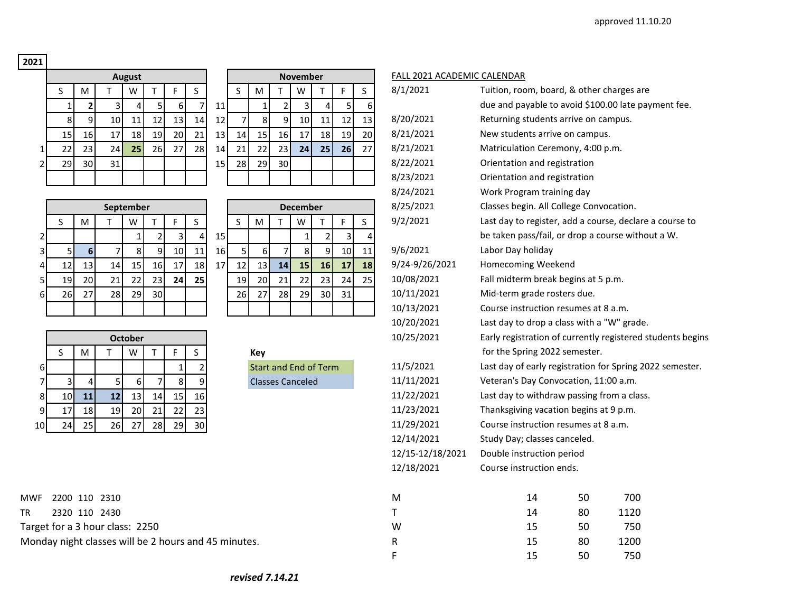## **2021**

|                |    |              |    | <b>August</b> |    |    |    |
|----------------|----|--------------|----|---------------|----|----|----|
|                | S  | M            |    | W             |    | F  | S  |
|                | 1  | $\mathbf{2}$ | 3  | 4             | 5  | 6  | 7  |
|                | 8  | 9            | 10 | 11            | 12 | 13 | 14 |
|                | 15 | 16           | 17 | 18            | 19 | 20 | 21 |
| 1              | 22 | 23           | 24 | 25            | 26 | 27 | 28 |
| $\overline{2}$ | 29 | 30           | 31 |               |    |    |    |
|                |    |              |    |               |    |    |    |

|    |                 |    | <b>August</b>   |                 |      |                 |                 | <b>November</b> |    |                 |                 |    |    |    | <b>FALL 202</b> |
|----|-----------------|----|-----------------|-----------------|------|-----------------|-----------------|-----------------|----|-----------------|-----------------|----|----|----|-----------------|
| S  | M               |    | w               |                 |      | S               |                 |                 | M  |                 | w               |    |    | S  | 8/1/2021        |
|    | 2 <sub>1</sub>  |    |                 | 5               | 6    |                 | 11 <sub>1</sub> |                 |    |                 | 3               |    | 5  | 6  |                 |
| 8  | 9               | 10 | 11              | 12 <sub>l</sub> | 13   | 14 <sub>1</sub> | 12              |                 | 8  | 9               | 10 <sup>1</sup> | 11 | 12 | 13 | 8/20/202        |
| 15 | 16              | 17 | 18 <sup> </sup> | 19              | 20 l | 21              | 13              | 14              | 15 | <b>16</b>       | 17 <sup>1</sup> | 18 | 19 | 20 | 8/21/202        |
| 22 | 23              | 24 | 25              | 26              | 27   | 28              | 14              | 21              | 22 | 231             | 24              | 25 | 26 | 27 | 8/21/202        |
| 29 | 30 <sup>1</sup> | 31 |                 |                 |      |                 | 15              | 28              | 29 | 30 <sup>1</sup> |                 |    |    |    | 8/22/202        |
|    |                 |    |                 |                 |      |                 |                 |                 |    |                 |                 |    |    |    | 8/23/202        |

|                |           |                 |     | September       |                 |                 |           |                 |           |           |                 | <b>December</b> |                 |                 |                 | 8/25/2021      | Classes begin. All  |
|----------------|-----------|-----------------|-----|-----------------|-----------------|-----------------|-----------|-----------------|-----------|-----------|-----------------|-----------------|-----------------|-----------------|-----------------|----------------|---------------------|
|                |           | M               |     | W               |                 |                 |           |                 |           | М         |                 | W               |                 |                 |                 | 9/2/2021       | Last day to registe |
|                |           |                 |     |                 |                 |                 | $\Delta$  | 15              |           |           |                 |                 |                 |                 |                 |                | be taken pass/fail  |
| 3              |           | 6               |     |                 |                 | 10 <sup>1</sup> | 11        | 16 <sup> </sup> |           | 61        |                 |                 | q               | 10 <sub>1</sub> | 11              | 9/6/2021       | Labor Day holiday   |
| $\overline{4}$ | 12        | 13 <sub>1</sub> | 14  | 15 <sub>1</sub> | 16I             | 17              | 18        | 17              | 12        | 13 I      | 14 <sup>1</sup> | 15              | 16              | 17              | 18 <sup>1</sup> | 9/24-9/26/2021 | Homecoming Wee      |
| 5              | 19        | 20              | 21  | 22 <sub>1</sub> | 23 <sub>1</sub> | 24 <sub>1</sub> | <b>25</b> |                 | 19        | <b>20</b> | 21              | 22              | 23              | 24              | <b>25</b>       | 10/08/2021     | Fall midterm brea   |
| $6 \mid$       | <b>26</b> | 27              | 281 | <b>29</b>       | 30 <sup>1</sup> |                 |           |                 | <b>26</b> | 27        | 28I             | 29              | 30 <sup>1</sup> | 31              |                 | 10/11/2021     | Mid-term grade ro   |
|                |           |                 |     |                 |                 |                 |           |                 |           |           |                 |                 |                 |                 |                 | 10/13/2021     | Course instruction  |

| <b>December</b> |    |    |              |    |    |  |  |  |  |  |  |  |  |
|-----------------|----|----|--------------|----|----|--|--|--|--|--|--|--|--|
| $\sf S$         | M  | Т  | W            | т  | F  |  |  |  |  |  |  |  |  |
|                 |    |    | $\mathbf{1}$ | 2  | 3  |  |  |  |  |  |  |  |  |
| 5               | 6  | 7  | 8            | 9  | 10 |  |  |  |  |  |  |  |  |
| 12              | 13 | 14 | 15           | 16 | 17 |  |  |  |  |  |  |  |  |
| 19              | 20 | 21 | 22           | 23 | 24 |  |  |  |  |  |  |  |  |
| 26              | 27 | 28 | 29           | 30 | 31 |  |  |  |  |  |  |  |  |
|                 |    |    |              |    |    |  |  |  |  |  |  |  |  |

|    |    | <b>October</b> |    |    |     |    |                 |  |  |  |  |  |  |  |
|----|----|----------------|----|----|-----|----|-----------------|--|--|--|--|--|--|--|
|    |    | м              |    | W  |     |    |                 |  |  |  |  |  |  |  |
| 6  |    |                |    |    |     |    | ∍               |  |  |  |  |  |  |  |
|    | ∍  |                |    | 6  |     | 8  | 9.              |  |  |  |  |  |  |  |
| 8  | 10 |                | 12 | 13 | 14  | 15 | 16 <sup> </sup> |  |  |  |  |  |  |  |
| 9  | 17 | 18             | 19 | 20 |     | 22 | 23              |  |  |  |  |  |  |  |
| 10 |    | 25             | 26 |    | 28. | 29 | 30              |  |  |  |  |  |  |  |

| 2200 110 2310<br><b>MWF</b>                          | ιvι | 50 | 700  |
|------------------------------------------------------|-----|----|------|
| 2320 110 2430<br>TR                                  |     | 80 | 1120 |
| Target for a 3 hour class: 2250                      | w   | 50 | 750  |
| Monday night classes will be 2 hours and 45 minutes. |     | 80 | 1200 |

|--|

|    | S                                                 | M                       | T              | W              | T.              | F            | S              |    | S              | M                            | $\mathsf{T}$   | W               | $\mathsf{T}$   | F  | S  | 8/1/2021         | Tuition, room, board, & other charges are                  |    |      |  |
|----|---------------------------------------------------|-------------------------|----------------|----------------|-----------------|--------------|----------------|----|----------------|------------------------------|----------------|-----------------|----------------|----|----|------------------|------------------------------------------------------------|----|------|--|
|    | $\mathbf 1$                                       | $\overline{\mathbf{2}}$ | 3              | 4              | $\overline{5}$  | 6            | 7              | 11 |                | 1                            | $\mathbf 2$    | 3               | 4              | 5  | 6  |                  | due and payable to avoid \$100.00 late payment fee.        |    |      |  |
|    | 8                                                 | 9                       | 10             | 11             | 12              | 13           | 14             | 12 | $\overline{7}$ | 8                            | 9              | 10              | 11             | 12 | 13 | 8/20/2021        | Returning students arrive on campus.                       |    |      |  |
|    | 15                                                | 16                      | 17             | 18             | 19              | 20           | 21             | 13 | 14             | 15                           | 16             | 17              | 18             | 19 | 20 | 8/21/2021        | New students arrive on campus.                             |    |      |  |
| 1  | 22                                                | 23                      | 24             | 25             | 26              | 27           | 28             | 14 | 21             | 22                           | 23             | 24              | 25             | 26 | 27 | 8/21/2021        | Matriculation Ceremony, 4:00 p.m.                          |    |      |  |
| 2  | 29                                                | 30                      | 31             |                |                 |              |                | 15 | 28             | 29                           | 30             |                 |                |    |    | 8/22/2021        | Orientation and registration                               |    |      |  |
|    |                                                   |                         |                |                |                 |              |                |    |                |                              |                |                 |                |    |    | 8/23/2021        | Orientation and registration                               |    |      |  |
|    |                                                   |                         |                |                |                 |              |                |    |                |                              |                |                 |                |    |    | 8/24/2021        | Work Program training day                                  |    |      |  |
|    |                                                   |                         | September      |                |                 |              |                |    |                |                              |                | <b>December</b> |                |    |    | 8/25/2021        | Classes begin. All College Convocation.                    |    |      |  |
|    | S                                                 | M                       | $\mathsf{T}$   | W              | T.              | F            | S              |    | S              | M                            | $\mathsf{T}$   | W               | T              | F  | S  | 9/2/2021         | Last day to register, add a course, declare a course to    |    |      |  |
| 2  |                                                   |                         |                | 1              | $\overline{2}$  | 3            | 4              | 15 |                |                              |                | $\mathbf{1}$    | $\overline{2}$ | 3  |    |                  | be taken pass/fail, or drop a course without a W.          |    |      |  |
| 3  | 5                                                 | $6\phantom{1}6$         | $\overline{7}$ | 8              | $\overline{9}$  | 10           | 11             | 16 | 5              | 6                            | $\overline{7}$ | 8               | 9              | 10 | 11 | 9/6/2021         | Labor Day holiday                                          |    |      |  |
| 4  | 12                                                | 13                      | 14             | 15             | 16              | 17           | 18             | 17 | 12             | 13                           | 14             | 15              | 16             | 17 | 18 | 9/24-9/26/2021   | Homecoming Weekend                                         |    |      |  |
| 5  | 19                                                | 20                      | 21             | 22             | 23              | 24           | 25             |    | 19             | 20                           | 21             | 22              | 23             | 24 | 25 | 10/08/2021       | Fall midterm break begins at 5 p.m.                        |    |      |  |
| 61 | 26                                                | 27                      | 28             | 29             | 30 <sup>1</sup> |              |                |    | 26             | 27                           | 28             | 29              | 30             | 31 |    | 10/11/2021       | Mid-term grade rosters due.                                |    |      |  |
|    |                                                   |                         |                |                |                 |              |                |    |                |                              |                |                 |                |    |    | 10/13/2021       | Course instruction resumes at 8 a.m.                       |    |      |  |
|    |                                                   |                         |                |                |                 |              |                |    |                |                              |                |                 |                |    |    | 10/20/2021       | Last day to drop a class with a "W" grade.                 |    |      |  |
|    |                                                   |                         |                | <b>October</b> |                 |              |                |    |                |                              |                |                 |                |    |    | 10/25/2021       | Early registration of currently registered students begins |    |      |  |
|    | S                                                 | M                       |                | W              | T               | F            | S              |    |                | Key                          |                |                 |                |    |    |                  | for the Spring 2022 semester.                              |    |      |  |
| 61 |                                                   |                         |                |                |                 | $\mathbf{1}$ | $\overline{2}$ |    |                | <b>Start and End of Term</b> |                |                 |                |    |    | 11/5/2021        | Last day of early registration for Spring 2022 semester.   |    |      |  |
| 7  | 3                                                 | $\overline{4}$          | 5              | 6              | $\overline{7}$  | 8            |                |    |                | <b>Classes Canceled</b>      |                |                 |                |    |    | 11/11/2021       | Veteran's Day Convocation, 11:00 a.m.                      |    |      |  |
| 8  | 10                                                | 11                      | 12             | 13             | 14              | 15           | 16             |    |                |                              |                |                 |                |    |    | 11/22/2021       | Last day to withdraw passing from a class.                 |    |      |  |
| 9  | 17                                                | 18                      | 19             | 20             | 21              | 22           | 23             |    |                |                              |                |                 |                |    |    | 11/23/2021       | Thanksgiving vacation begins at 9 p.m.                     |    |      |  |
| ٥l | 24                                                | 25                      | 26             | 27             | 28              | 29           | 30             |    |                |                              |                |                 |                |    |    | 11/29/2021       | Course instruction resumes at 8 a.m.                       |    |      |  |
|    |                                                   |                         |                |                |                 |              |                |    |                |                              |                |                 |                |    |    | 12/14/2021       | Study Day; classes canceled.                               |    |      |  |
|    |                                                   |                         |                |                |                 |              |                |    |                |                              |                |                 |                |    |    | 12/15-12/18/2021 | Double instruction period                                  |    |      |  |
|    |                                                   |                         |                |                |                 |              |                |    |                |                              |                |                 |                |    |    | 12/18/2021       | Course instruction ends.                                   |    |      |  |
|    | 2200 110 2310                                     |                         |                |                |                 |              |                |    |                |                              |                |                 |                |    |    | M                | 14                                                         | 50 | 700  |  |
|    |                                                   | 2320 110 2430           |                |                |                 |              |                |    |                |                              |                |                 |                |    |    | Τ                | 14                                                         | 80 | 1120 |  |
|    | et for a 3 hour class: 2250                       |                         |                |                |                 |              |                |    |                |                              |                |                 |                |    |    | W                | 15                                                         | 50 | 750  |  |
|    |                                                   |                         |                |                |                 |              |                |    |                |                              |                |                 |                |    |    |                  |                                                            |    |      |  |
|    |                                                   |                         |                |                |                 |              |                |    |                |                              |                |                 |                |    |    |                  | 15                                                         | 80 | 1200 |  |
|    | day night classes will be 2 hours and 45 minutes. |                         |                |                |                 |              |                |    |                |                              |                |                 |                |    |    | R<br>F           | 15                                                         | 50 | 750  |  |